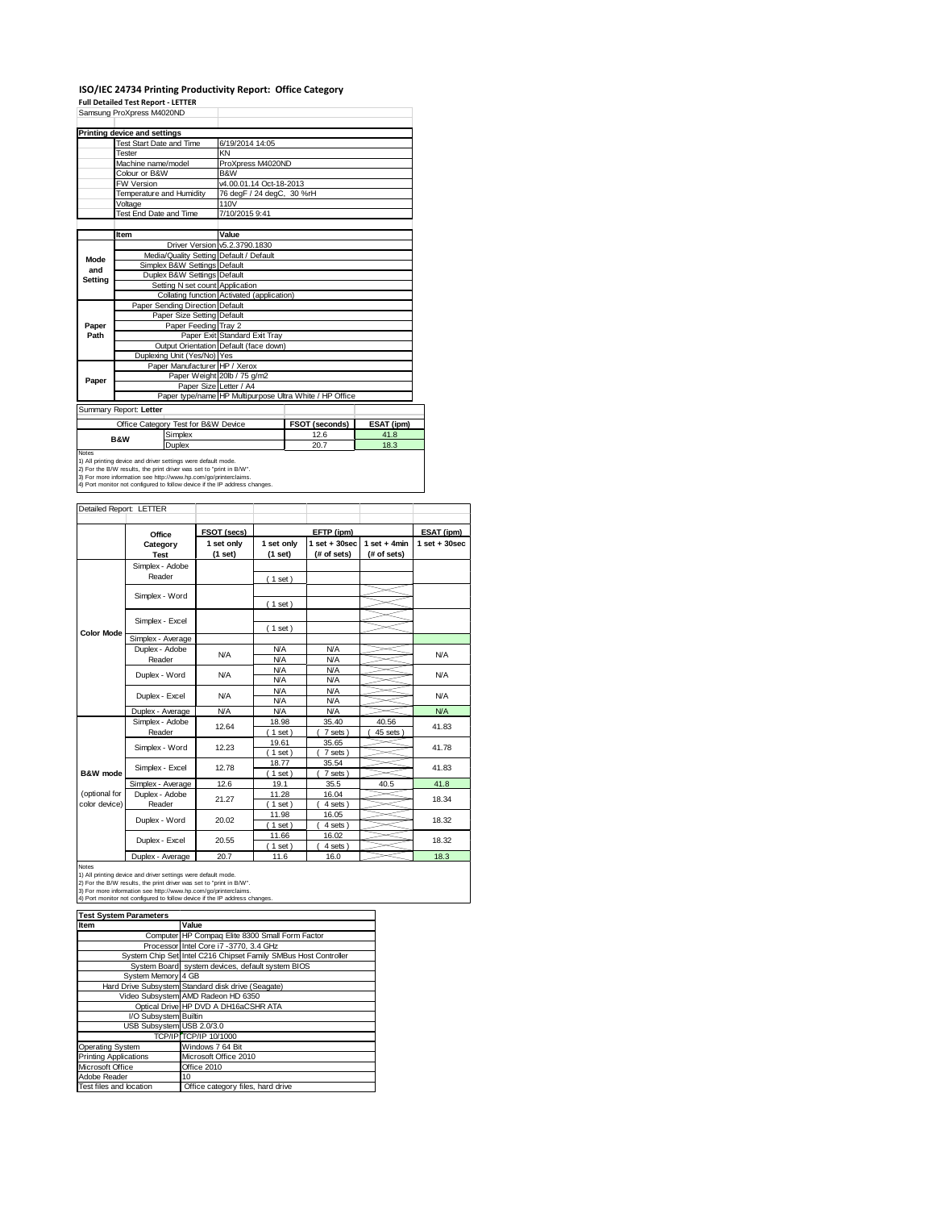### **ISO/IEC 24734 Printing Productivity Report: Office Category Full Detailed Test Report ‐ LETTER**

|              | Samsung ProXpress M4020ND                                                  |                                            |                                                         |            |  |  |  |
|--------------|----------------------------------------------------------------------------|--------------------------------------------|---------------------------------------------------------|------------|--|--|--|
|              | Printing device and settings                                               |                                            |                                                         |            |  |  |  |
|              | <b>Test Start Date and Time</b>                                            | 6/19/2014 14:05                            |                                                         |            |  |  |  |
|              | Tester                                                                     | KN                                         |                                                         |            |  |  |  |
|              | Machine name/model                                                         | ProXpress M4020ND                          |                                                         |            |  |  |  |
|              | Colour or B&W                                                              | B&W                                        |                                                         |            |  |  |  |
|              | <b>FW Version</b>                                                          | v4.00.01.14 Oct-18-2013                    |                                                         |            |  |  |  |
|              | Temperature and Humidity                                                   | 76 degF / 24 degC, 30 %rH                  |                                                         |            |  |  |  |
|              | Voltage                                                                    | 110V                                       |                                                         |            |  |  |  |
|              | Test End Date and Time                                                     | 7/10/2015 9:41                             |                                                         |            |  |  |  |
|              |                                                                            |                                            |                                                         |            |  |  |  |
|              | Item                                                                       | Value                                      |                                                         |            |  |  |  |
|              |                                                                            | Driver Version v5.2.3790.1830              |                                                         |            |  |  |  |
| Mode         | Media/Quality Setting Default / Default                                    |                                            |                                                         |            |  |  |  |
| and          | Simplex B&W Settings Default                                               |                                            |                                                         |            |  |  |  |
| Setting      | Duplex B&W Settings Default                                                |                                            |                                                         |            |  |  |  |
|              | Setting N set count Application                                            |                                            |                                                         |            |  |  |  |
|              |                                                                            | Collating function Activated (application) |                                                         |            |  |  |  |
|              | Paper Sending Direction Default                                            |                                            |                                                         |            |  |  |  |
|              | Paper Size Setting Default                                                 |                                            |                                                         |            |  |  |  |
| Paper        | Paper Feeding Tray 2                                                       |                                            |                                                         |            |  |  |  |
| Path         |                                                                            | Paper Exit Standard Exit Tray              |                                                         |            |  |  |  |
|              |                                                                            | Output Orientation Default (face down)     |                                                         |            |  |  |  |
|              | Duplexing Unit (Yes/No) Yes                                                |                                            |                                                         |            |  |  |  |
|              | Paper Manufacturer HP / Xerox                                              |                                            |                                                         |            |  |  |  |
| Paper        |                                                                            | Paper Weight 20lb / 75 g/m2                |                                                         |            |  |  |  |
|              | Paper Size Letter / A4                                                     |                                            |                                                         |            |  |  |  |
|              |                                                                            |                                            | Paper type/name HP Multipurpose Ultra White / HP Office |            |  |  |  |
|              | Summary Report: Letter                                                     |                                            |                                                         |            |  |  |  |
|              | Office Category Test for B&W Device                                        |                                            | FSOT (seconds)                                          | ESAT (ipm) |  |  |  |
|              | Simplex<br><b>B&amp;W</b>                                                  |                                            | 12.6                                                    | 41.8       |  |  |  |
|              | Duplex                                                                     |                                            | 20.7                                                    | 18.3       |  |  |  |
| <b>Notes</b> | 1) All printing device and driver settings were default mode.              |                                            |                                                         |            |  |  |  |
|              | 2) For the B/W results, the print driver was set to "print in B/W".        |                                            |                                                         |            |  |  |  |
|              | 3) For more information see http://www.hp.com/go/printerclaims.            |                                            |                                                         |            |  |  |  |
|              | 4) Port monitor not configured to follow device if the IP address changes. |                                            |                                                         |            |  |  |  |

| Detailed Report: LETTER        |                           |                       |                          |                                  |                               |                  |
|--------------------------------|---------------------------|-----------------------|--------------------------|----------------------------------|-------------------------------|------------------|
|                                | Office                    | FSOT (secs)           |                          | EFTP (ipm)                       |                               | ESAT (ipm)       |
|                                | Category<br><b>Test</b>   | 1 set only<br>(1 set) | 1 set only<br>(1 set)    | $1$ set $+30$ sec<br>(# of sets) | $1$ set + 4min<br>(# of sets) | $1 set + 30 sec$ |
|                                | Simplex - Adobe<br>Reader |                       | (1 set)                  |                                  |                               |                  |
|                                | Simplex - Word            |                       | (1 set)                  |                                  |                               |                  |
|                                | Simplex - Excel           |                       | (1 set)                  |                                  |                               |                  |
| <b>Color Mode</b>              | Simplex - Average         |                       |                          |                                  |                               |                  |
|                                | Duplex - Adobe<br>Reader  | N/A                   | <b>N/A</b><br><b>N/A</b> | <b>N/A</b><br><b>N/A</b>         |                               | <b>N/A</b>       |
|                                | Duplex - Word             | <b>N/A</b>            | <b>N/A</b><br><b>N/A</b> | <b>N/A</b><br><b>N/A</b>         |                               | <b>N/A</b>       |
|                                | Duplex - Excel            | N/A                   | <b>N/A</b><br><b>N/A</b> | <b>N/A</b><br><b>N/A</b>         |                               | <b>N/A</b>       |
|                                | Duplex - Average          | <b>N/A</b>            | <b>N/A</b>               | <b>N/A</b>                       |                               | NA               |
|                                | Simplex - Adobe<br>Reader | 12.64                 | 18.98<br>$1$ set)        | 35.40<br>7 sets)                 | 40.56<br>45 sets              | 41.83            |
|                                | Simplex - Word            | 12.23                 | 19.61<br>$1$ set)        | 35.65<br>7 sets)                 |                               | 41.78            |
| B&W mode                       | Simplex - Excel           | 12.78                 | 18.77<br>$1$ set)        | 35.54<br>7 sets)                 |                               | 41.83            |
|                                | Simplex - Average         | 12.6                  | 19.1                     | 35.5                             | 40.5                          | 41.8             |
| (optional for<br>color device) | Duplex - Adobe<br>Reader  | 21.27                 | 11.28<br>$1$ set)        | 16.04<br>4 sets)                 |                               | 18.34            |
|                                | Duplex - Word             | 20.02                 | 11.98<br>$1$ set)        | 16.05<br>4 sets)                 |                               | 18.32            |
|                                | Duplex - Excel            | 20.55                 | 11.66<br>$1$ set)        | 16.02<br>4 sets)                 |                               | 18.32            |
|                                | Dualett Armanan           | 207                   | 44 <sup>o</sup>          | 400                              |                               | 402              |

Notes<br>
19. Notes<br>
1) All printing device and driver settings were default mode.<br>
2) For the B/W results, the print driver was set to "print in B/W".<br>
3) For more information see http://www.hp.com/go/printerclaims.<br>
3) Fo

| <b>Test System Parameters</b> |                                                                 |
|-------------------------------|-----------------------------------------------------------------|
| Item                          | Value                                                           |
|                               | Computer HP Compaq Elite 8300 Small Form Factor                 |
|                               | Processor Intel Core i7 -3770, 3.4 GHz                          |
|                               | System Chip Set Intel C216 Chipset Family SMBus Host Controller |
|                               | System Board system devices, default system BIOS                |
| System Memory 4 GB            |                                                                 |
|                               | Hard Drive Subsystem Standard disk drive (Seagate)              |
|                               | Video Subsystem AMD Radeon HD 6350                              |
|                               | Optical Drive HP DVD A DH16aCSHR ATA                            |
| I/O Subsystem Builtin         |                                                                 |
| USB Subsystem USB 2.0/3.0     |                                                                 |
|                               | TCP/IP TCP/IP 10/1000                                           |
| Operating System              | Windows 7 64 Bit                                                |
| <b>Printing Applications</b>  | Microsoft Office 2010                                           |
| Microsoft Office              | Office 2010                                                     |
| Adobe Reader                  | 10                                                              |
| Test files and location       | Office category files, hard drive                               |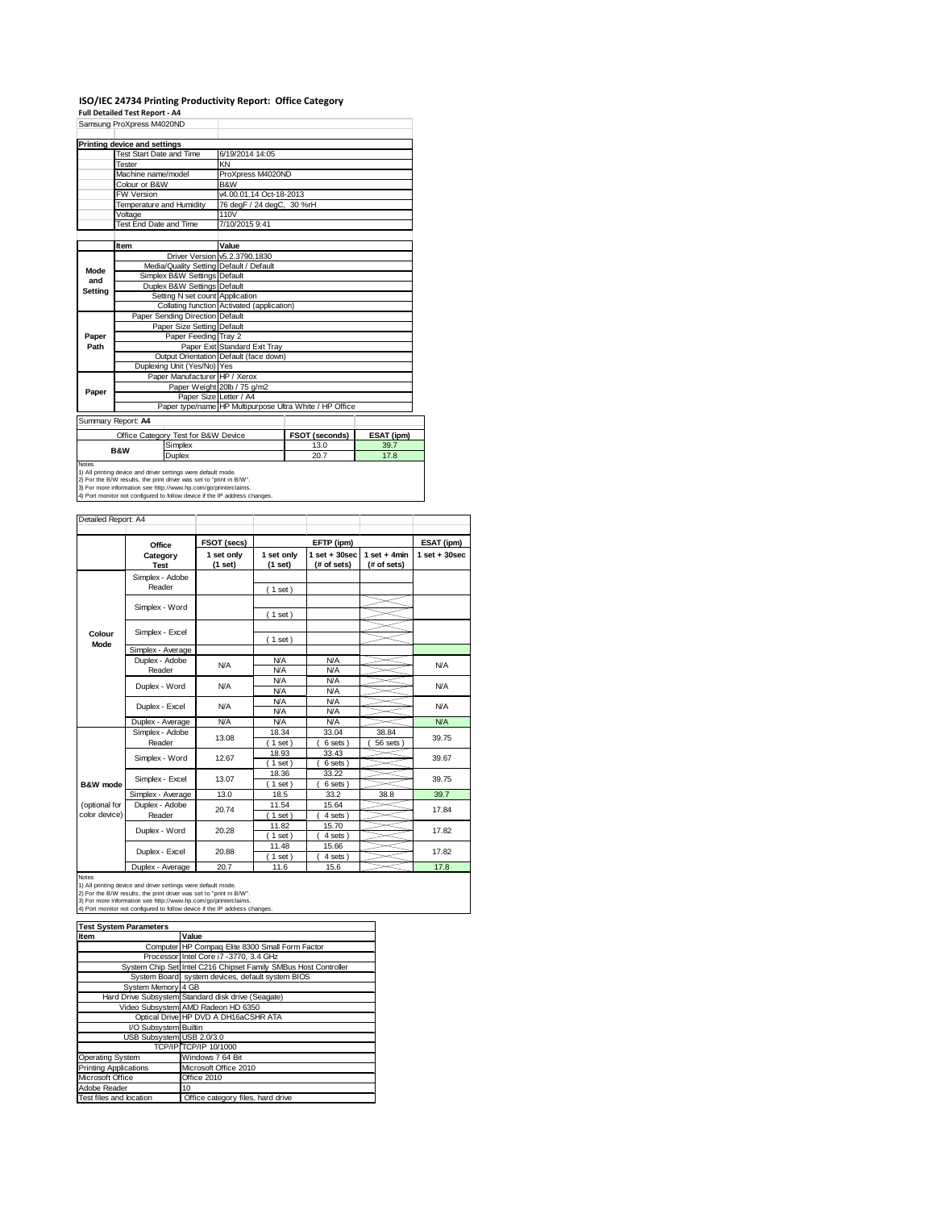# **ISO/IEC 24734 Printing Productivity Report: Office Category Full Detailed Test Report ‐ A4**

|         | Samsung ProXpress M4020ND     |                                                               |                                            |                                                         |            |  |  |  |
|---------|-------------------------------|---------------------------------------------------------------|--------------------------------------------|---------------------------------------------------------|------------|--|--|--|
|         | Printing device and settings  |                                                               |                                            |                                                         |            |  |  |  |
|         | Test Start Date and Time      |                                                               | 6/19/2014 14:05                            |                                                         |            |  |  |  |
|         | Tester                        |                                                               | KN                                         |                                                         |            |  |  |  |
|         | Machine name/model            |                                                               | ProXpress M4020ND                          |                                                         |            |  |  |  |
|         | Colour or B&W                 |                                                               | <b>B&amp;W</b>                             |                                                         |            |  |  |  |
|         | FW Version                    |                                                               |                                            | v4.00.01.14 Oct-18-2013                                 |            |  |  |  |
|         | Temperature and Humidity      |                                                               | 76 degF / 24 degC, 30 %rH                  |                                                         |            |  |  |  |
|         | Voltage                       |                                                               | 110V                                       |                                                         |            |  |  |  |
|         | <b>Test End Date and Time</b> |                                                               | 7/10/2015 9:41                             |                                                         |            |  |  |  |
|         |                               |                                                               |                                            |                                                         |            |  |  |  |
|         | Item                          |                                                               | Value                                      |                                                         |            |  |  |  |
|         |                               |                                                               | Driver Version v5.2.3790.1830              |                                                         |            |  |  |  |
| Mode    |                               | Media/Quality Setting Default / Default                       |                                            |                                                         |            |  |  |  |
| and     |                               | Simplex B&W Settings Default                                  |                                            |                                                         |            |  |  |  |
| Setting |                               | Duplex B&W Settings Default                                   |                                            |                                                         |            |  |  |  |
|         |                               | Setting N set count Application                               |                                            |                                                         |            |  |  |  |
|         |                               |                                                               | Collating function Activated (application) |                                                         |            |  |  |  |
|         |                               | Paper Sending Direction Default                               |                                            |                                                         |            |  |  |  |
|         |                               | Paper Size Setting Default                                    |                                            |                                                         |            |  |  |  |
| Paper   |                               | Paper Feeding Tray 2                                          |                                            |                                                         |            |  |  |  |
| Path    |                               |                                                               | Paper Exit Standard Exit Tray              |                                                         |            |  |  |  |
|         |                               |                                                               | Output Orientation Default (face down)     |                                                         |            |  |  |  |
|         |                               | Duplexing Unit (Yes/No) Yes                                   |                                            |                                                         |            |  |  |  |
|         |                               | Paper Manufacturer HP / Xerox                                 |                                            |                                                         |            |  |  |  |
| Paper   |                               |                                                               | Paper Weight 20lb / 75 g/m2                |                                                         |            |  |  |  |
|         |                               | Paper Size Letter / A4                                        |                                            |                                                         |            |  |  |  |
|         |                               |                                                               |                                            | Paper type/name HP Multipurpose Ultra White / HP Office |            |  |  |  |
|         | Summary Report: A4            |                                                               |                                            |                                                         |            |  |  |  |
|         |                               | Office Category Test for B&W Device                           |                                            | FSOT (seconds)                                          | ESAT (ipm) |  |  |  |
|         | <b>B&amp;W</b>                | Simplex                                                       |                                            | 13.0                                                    | 39.7       |  |  |  |
|         |                               | <b>Duplex</b>                                                 |                                            | 20.7                                                    | 17.8       |  |  |  |
| Notes   |                               | 1) All printing device and driver settings were default mode. |                                            |                                                         |            |  |  |  |

1) All printing device and driver settings were default mode.<br>2) For the B/W results, the print driver was set to "print in B/W".<br>3) For more information see http://www.hp.com/go/printerclaims.<br>4) Port monitor not configur

| Detailed Report: A4            |                           |                       |                          |                                  |                               |                   |
|--------------------------------|---------------------------|-----------------------|--------------------------|----------------------------------|-------------------------------|-------------------|
|                                | Office                    | FSOT (secs)           |                          | EFTP (ipm)                       |                               | ESAT (ipm)        |
|                                | Category<br><b>Test</b>   | 1 set only<br>(1 set) | 1 set only<br>(1 set)    | $1$ set $+30$ sec<br>(# of sets) | $1$ set + 4min<br>(# of sets) | $1$ set $+30$ sec |
|                                | Simplex - Adobe<br>Reader |                       | (1 set)                  |                                  |                               |                   |
|                                | Simplex - Word            |                       | $1$ set)                 |                                  |                               |                   |
| Colour<br>Mode                 | Simplex - Excel           |                       | $1$ set)                 |                                  |                               |                   |
|                                | Simplex - Average         |                       |                          |                                  |                               |                   |
|                                | Duplex - Adobe<br>Reader  | <b>N/A</b>            | <b>N/A</b><br><b>N/A</b> | <b>N/A</b><br><b>N/A</b>         |                               | <b>N/A</b>        |
|                                | Duplex - Word             | <b>N/A</b>            | <b>N/A</b><br><b>N/A</b> | <b>N/A</b><br><b>N/A</b>         |                               | <b>N/A</b>        |
|                                | Duplex - Excel            | N/A                   | <b>N/A</b><br><b>N/A</b> | <b>N/A</b><br><b>N/A</b>         |                               | <b>N/A</b>        |
|                                | Duplex - Average          | <b>N/A</b>            | <b>N/A</b>               | <b>N/A</b>                       |                               | N/A               |
|                                | Simplex - Adobe<br>Reader | 13.08                 | 18.34<br>$1$ set)        | 33.04<br>6 sets)                 | 38.84<br>56 sets )            | 39.75             |
|                                | Simplex - Word            | 12.67                 | 18.93<br>$1$ set)        | 33.43<br>6 sets)                 |                               | 39.67             |
| B&W mode                       | Simplex - Excel           | 13.07                 | 18.36<br>$1$ set)        | 33.22<br>6 sets)                 |                               | 39.75             |
|                                | Simplex - Average         | 13.0                  | 18.5                     | 33.2                             | 38.8                          | 39.7              |
| (optional for<br>color device) | Duplex - Adobe<br>Reader  | 20.74                 | 11.54<br>$1$ set)        | 15.64<br>4 sets)                 |                               | 17.84             |
|                                | Duplex - Word             | 20.28                 | 11.82<br>$1$ set)        | 15.70<br>4 sets)                 |                               | 17.82             |
|                                | Duplex - Excel            | 20.88                 | 11.48<br>1 set           | 15.66<br>4 sets                  |                               | 17.82             |
|                                | Duplex - Average          | 20.7                  | 11.6                     | 15.6                             |                               | 17.8              |

Notes<br>1) All printing device and driver settings were default mode.<br>2) For the B/W results, the print driver was set to "print in B/W".<br>3) For more information see http://www.hp.com/go/printerclaims.<br>4) Port monitor not co

| <b>Test System Parameters</b> |                                                                 |
|-------------------------------|-----------------------------------------------------------------|
| Item                          | Value                                                           |
|                               | Computer HP Compaq Elite 8300 Small Form Factor                 |
|                               | Processor Intel Core i7 -3770, 3.4 GHz                          |
|                               | System Chip Set Intel C216 Chipset Family SMBus Host Controller |
|                               | System Board system devices, default system BIOS                |
| System Memory 4 GB            |                                                                 |
|                               | Hard Drive Subsystem Standard disk drive (Seagate)              |
|                               | Video Subsystem AMD Radeon HD 6350                              |
|                               | Optical Drive HP DVD A DH16aCSHR ATA                            |
| I/O Subsystem Builtin         |                                                                 |
| USB Subsystem USB 2.0/3.0     |                                                                 |
|                               | <b>TCP/IP TCP/IP 10/1000</b>                                    |
| <b>Operating System</b>       | Windows 7 64 Bit                                                |
| <b>Printing Applications</b>  | Microsoft Office 2010                                           |
| Microsoft Office              | Office 2010                                                     |
| Adobe Reader                  | 10                                                              |
| Test files and location       | Office category files, hard drive                               |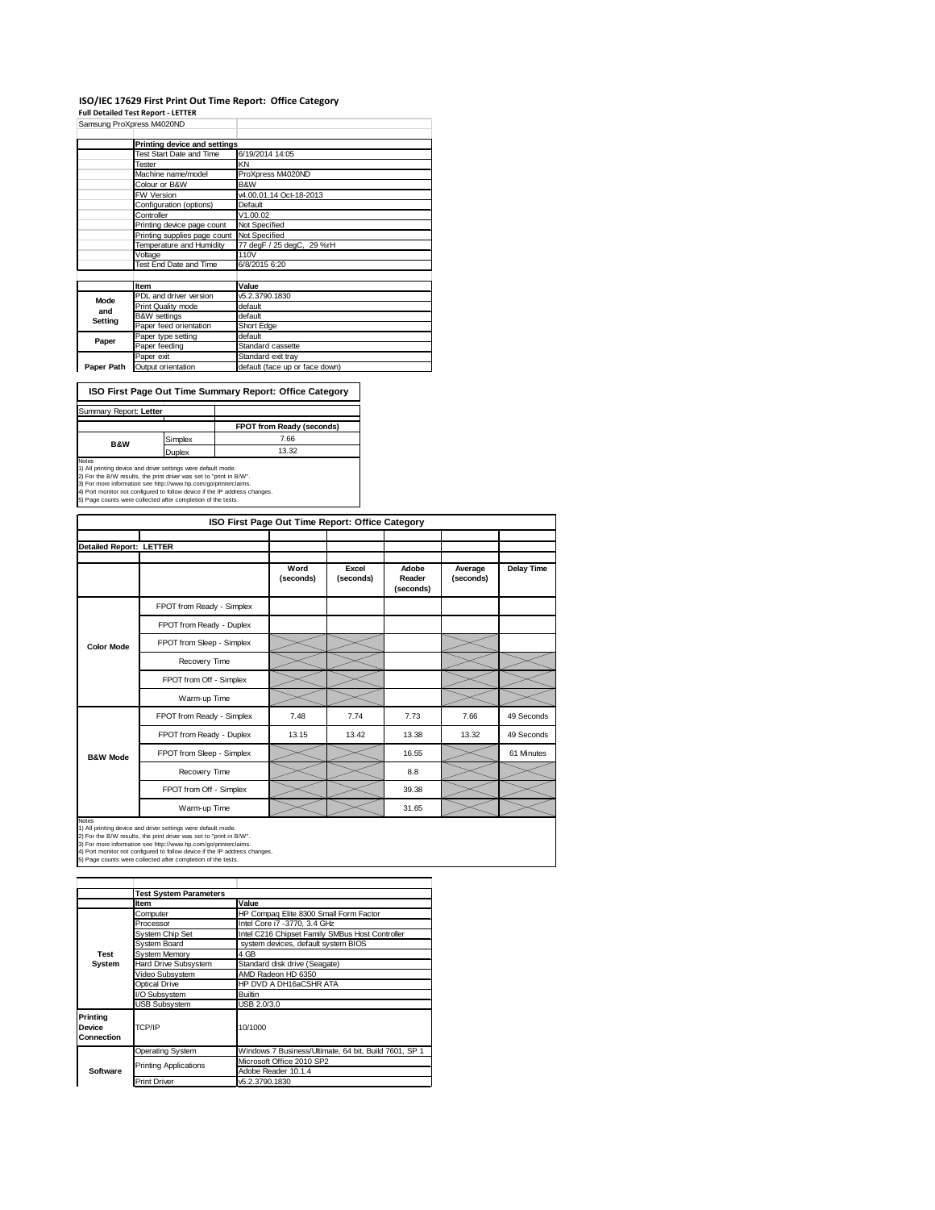### **ISO/IEC 17629 First Print Out Time Report: Office Category**

**Full Detailed Test Report ‐ LETTER**

|            | Samsung ProXpress M4020ND    |                                |
|------------|------------------------------|--------------------------------|
|            | Printing device and settings |                                |
|            | Test Start Date and Time     | 6/19/2014 14:05                |
|            | Tester                       | KN                             |
|            | Machine name/model           | ProXpress M4020ND              |
|            | Colour or B&W                | B&W                            |
|            | FW Version                   | v4.00.01.14 Oct-18-2013        |
|            | Configuration (options)      | Default                        |
|            | Controller                   | V1.00.02                       |
|            | Printing device page count   | Not Specified                  |
|            | Printing supplies page count | Not Specified                  |
|            | Temperature and Humidity     | 77 degF / 25 degC, 29 %rH      |
|            | Voltage                      | 110V                           |
|            | Test End Date and Time       | 6/8/2015 6:20                  |
|            |                              |                                |
|            | Item                         | Value                          |
| Mode       | PDL and driver version       | v5.2.3790.1830                 |
| and        | Print Quality mode           | default                        |
| Setting    | <b>B&amp;W</b> settings      | default                        |
|            | Paper feed orientation       | Short Edge                     |
| Paper      | Paper type setting           | default                        |
|            | Paper feeding                | Standard cassette              |
|            | Paper exit                   | Standard exit tray             |
| Paper Path | Output orientation           | default (face up or face down) |

**ISO First Page Out Time Summary Report: Office Category**

| Summary Report: Letter |         |                           |
|------------------------|---------|---------------------------|
|                        |         | FPOT from Ready (seconds) |
| <b>B&amp;W</b>         | Simplex | 7.66                      |
|                        | Duplex  | 13.32                     |
| Notes                  |         |                           |

Notes<br>1) All printing device and driver settings were default mode.<br>2) For the B/W results, the print driver was set to "print in B/W".<br>3) For more information see http://www.hp.com/go/printerclaims.<br>4) Port monitor not co

|                                | ISO First Page Out Time Report: Office Category                                                                                                                                                                                                                                                                                                       |                   |                    |                              |                      |                   |  |  |
|--------------------------------|-------------------------------------------------------------------------------------------------------------------------------------------------------------------------------------------------------------------------------------------------------------------------------------------------------------------------------------------------------|-------------------|--------------------|------------------------------|----------------------|-------------------|--|--|
|                                |                                                                                                                                                                                                                                                                                                                                                       |                   |                    |                              |                      |                   |  |  |
| <b>Detailed Report: LETTER</b> |                                                                                                                                                                                                                                                                                                                                                       |                   |                    |                              |                      |                   |  |  |
|                                |                                                                                                                                                                                                                                                                                                                                                       | Word<br>(seconds) | Excel<br>(seconds) | Adobe<br>Reader<br>(seconds) | Average<br>(seconds) | <b>Delay Time</b> |  |  |
|                                | FPOT from Ready - Simplex                                                                                                                                                                                                                                                                                                                             |                   |                    |                              |                      |                   |  |  |
|                                | FPOT from Ready - Duplex                                                                                                                                                                                                                                                                                                                              |                   |                    |                              |                      |                   |  |  |
| <b>Color Mode</b>              | FPOT from Sleep - Simplex                                                                                                                                                                                                                                                                                                                             |                   |                    |                              |                      |                   |  |  |
|                                | Recovery Time                                                                                                                                                                                                                                                                                                                                         |                   |                    |                              |                      |                   |  |  |
|                                | FPOT from Off - Simplex                                                                                                                                                                                                                                                                                                                               |                   |                    |                              |                      |                   |  |  |
|                                | Warm-up Time                                                                                                                                                                                                                                                                                                                                          |                   |                    |                              |                      |                   |  |  |
|                                | FPOT from Ready - Simplex                                                                                                                                                                                                                                                                                                                             | 7.48              | 7.74               | 7.73                         | 7.66                 | 49 Seconds        |  |  |
|                                | FPOT from Ready - Duplex                                                                                                                                                                                                                                                                                                                              | 13.15             | 13.42              | 13.38                        | 13.32                | 49 Seconds        |  |  |
| <b>B&amp;W Mode</b>            | FPOT from Sleep - Simplex                                                                                                                                                                                                                                                                                                                             |                   |                    | 16.55                        |                      | 61 Minutes        |  |  |
|                                | Recovery Time                                                                                                                                                                                                                                                                                                                                         |                   |                    | 8.8                          |                      |                   |  |  |
|                                | FPOT from Off - Simplex                                                                                                                                                                                                                                                                                                                               |                   |                    | 39.38                        |                      |                   |  |  |
|                                | Warm-up Time                                                                                                                                                                                                                                                                                                                                          |                   |                    | 31.65                        |                      |                   |  |  |
| Notes                          | 1) All printing device and driver settings were default mode.<br>2) For the B/W results, the print driver was set to "print in B/W".<br>3) For more information see http://www.hp.com/go/printerclaims.<br>4) Port monitor not configured to follow device if the IP address changes.<br>5) Page counts were collected after completion of the tests. |                   |                    |                              |                      |                   |  |  |

**Item Value**<br> **Computer HP Computer** Computer **HP Compaq Elite 8300 Small Form Factor**<br>
Processor **Intel Core i7 -3770, 3.4 GHz** System Chip Set Intel C216 Chipset Family SMBus Host Controller<br>System Board system devices, default system BIOS System Memory<br>Hard Drive Subsystem Stand Hard Drive Subsystem Standard disk drive (Seagate)<br>Video Subsystem AMD Radeon HD 6350 Video Subsystem AMD Radeon HD 6350 Optical Drive HP DVD A DH16aCSHR ATA /O Subsystem B Subsystem USB 2.0/3.0 Operating System Windows 7 Business/Ultimate, 64 bit, Build 7601, SP 1 Microsoft Office 2010 SP2 Adobe Reader 10.1.4 Print Driver v5.2.3790.1830 **Test System Software Test System Parameters Printing Device Connection** TCP/IP 10/1000 Printing Applications